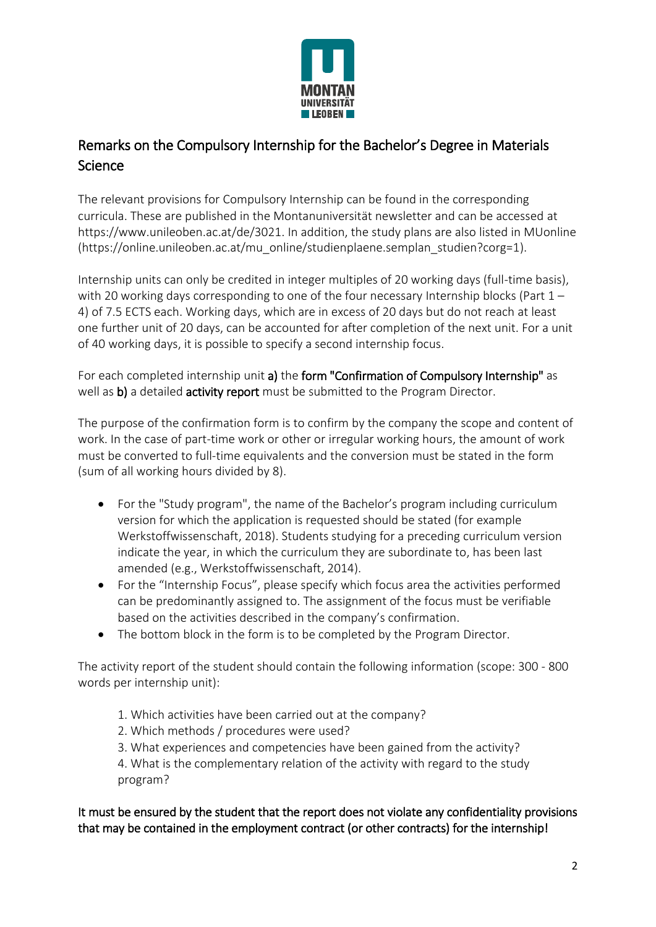

## Remarks on the Compulsory Internship for the Bachelor's Degree in Materials Science

The relevant provisions for Compulsory Internship can be found in the corresponding curricula. These are published in the Montanuniversität newsletter and can be accessed at https://www.unileoben.ac.at/de/3021. In addition, the study plans are also listed in MUonline [\(https://online.unileoben.ac.at/mu\\_online/studienplaene.semplan\\_studien?corg=1\)](https://online.unileoben.ac.at/mu_online/studienplaene.semplan_studien?corg=1).

Internship units can only be credited in integer multiples of 20 working days (full-time basis), with 20 working days corresponding to one of the four necessary Internship blocks (Part  $1 -$ 4) of 7.5 ECTS each. Working days, which are in excess of 20 days but do not reach at least one further unit of 20 days, can be accounted for after completion of the next unit. For a unit of 40 working days, it is possible to specify a second internship focus.

For each completed internship unit a) the form "Confirmation of Compulsory Internship" as well as b) a detailed activity report must be submitted to the Program Director.

The purpose of the confirmation form is to confirm by the company the scope and content of work. In the case of part-time work or other or irregular working hours, the amount of work must be converted to full-time equivalents and the conversion must be stated in the form (sum of all working hours divided by 8).

- For the "Study program", the name of the Bachelor's program including curriculum version for which the application is requested should be stated (for example Werkstoffwissenschaft, 2018). Students studying for a preceding curriculum version indicate the year, in which the curriculum they are subordinate to, has been last amended (e.g., Werkstoffwissenschaft, 2014).
- For the "Internship Focus", please specify which focus area the activities performed can be predominantly assigned to. The assignment of the focus must be verifiable based on the activities described in the company's confirmation.
- The bottom block in the form is to be completed by the Program Director.

The activity report of the student should contain the following information (scope: 300 - 800 words per internship unit):

- 1. Which activities have been carried out at the company?
- 2. Which methods / procedures were used?
- 3. What experiences and competencies have been gained from the activity?

4. What is the complementary relation of the activity with regard to the study program?

It must be ensured by the student that the report does not violate any confidentiality provisions that may be contained in the employment contract (or other contracts) for the internship!